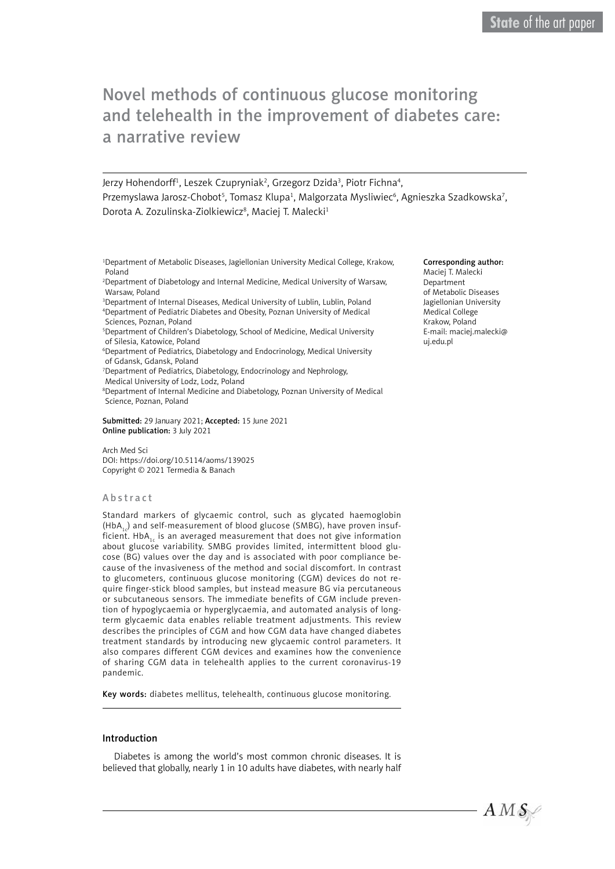# Novel methods of continuous glucose monitoring and telehealth in the improvement of diabetes care: a narrative review

Jerzy Hohendorff<sup>1</sup>, Leszek Czupryniak<sup>2</sup>, Grzegorz Dzida<sup>3</sup>, Piotr Fichna<sup>4</sup>, Przemyslawa Jarosz-Chobot<sup>5</sup>, Tomasz Klupa<sup>1</sup>, Malgorzata Mysliwiec<sup>6</sup>, Agnieszka Szadkowska<sup>7</sup>, Dorota A. Zozulinska-Ziolkiewicz<sup>8</sup>, Maciej T. Malecki<sup>1</sup>

1 Department of Metabolic Diseases, Jagiellonian University Medical College, Krakow, Poland

2 Department of Diabetology and Internal Medicine, Medical University of Warsaw, Warsaw, Poland

- 3 Department of Internal Diseases, Medical University of Lublin, Lublin, Poland 4 Department of Pediatric Diabetes and Obesity, Poznan University of Medical Sciences, Poznan, Poland
- 5 Department of Children's Diabetology, School of Medicine, Medical University of Silesia, Katowice, Poland
- 6 Department of Pediatrics, Diabetology and Endocrinology, Medical University of Gdansk, Gdansk, Poland
- 7 Department of Pediatrics, Diabetology, Endocrinology and Nephrology,
- Medical University of Lodz, Lodz, Poland
- 8 Department of Internal Medicine and Diabetology, Poznan University of Medical Science, Poznan, Poland

Submitted: 29 January 2021; Accepted: 15 June 2021 Online publication: 3 July 2021

Arch Med Sci DOI: https://doi.org/10.5114/aoms/139025 Copyright © 2021 Termedia & Banach

#### Abstract

Standard markers of glycaemic control, such as glycated haemoglobin (HbA<sub>1c</sub>) and self-measurement of blood glucose (SMBG), have proven insufficient. HbA<sub>1c</sub> is an averaged measurement that does not give information about glucose variability. SMBG provides limited, intermittent blood glucose (BG) values over the day and is associated with poor compliance because of the invasiveness of the method and social discomfort. In contrast to glucometers, continuous glucose monitoring (CGM) devices do not require finger-stick blood samples, but instead measure BG via percutaneous or subcutaneous sensors. The immediate benefits of CGM include prevention of hypoglycaemia or hyperglycaemia, and automated analysis of longterm glycaemic data enables reliable treatment adjustments. This review describes the principles of CGM and how CGM data have changed diabetes treatment standards by introducing new glycaemic control parameters. It also compares different CGM devices and examines how the convenience of sharing CGM data in telehealth applies to the current coronavirus-19 pandemic.

Key words: diabetes mellitus, telehealth, continuous glucose monitoring.

#### Introduction

Diabetes is among the world's most common chronic diseases. It is believed that globally, nearly 1 in 10 adults have diabetes, with nearly half

#### Corresponding author: Maciej T. Malecki **Department** of Metabolic Diseases Jagiellonian University Medical College Krakow, Poland E-mail: [maciej.malecki@](mailto:maciej.malecki@uj.edu.pl) [uj.edu.pl](mailto:maciej.malecki@uj.edu.pl)

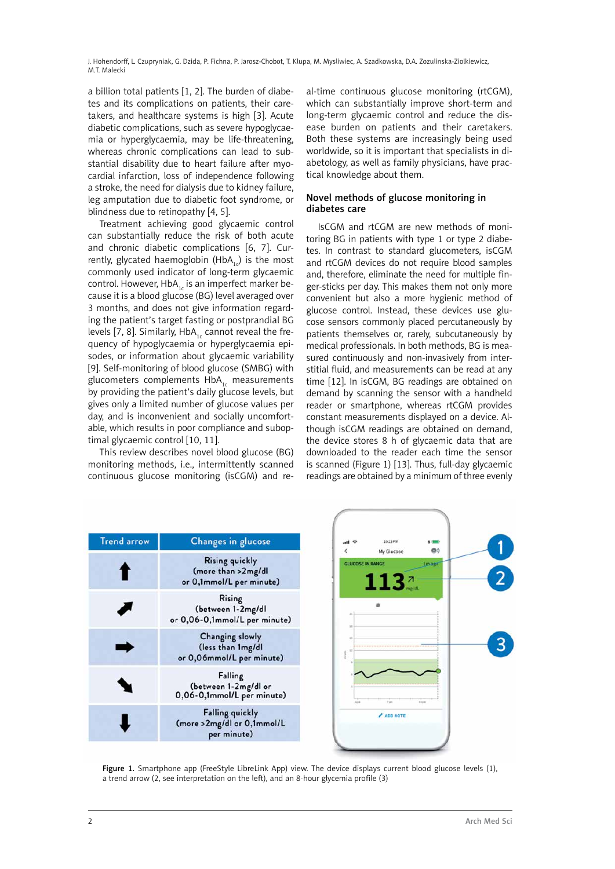a billion total patients [1, 2]. The burden of diabetes and its complications on patients, their caretakers, and healthcare systems is high [3]. Acute diabetic complications, such as severe hypoglycaemia or hyperglycaemia, may be life-threatening, whereas chronic complications can lead to substantial disability due to heart failure after myocardial infarction, loss of independence following a stroke, the need for dialysis due to kidney failure, leg amputation due to diabetic foot syndrome, or blindness due to retinopathy [4, 5].

Treatment achieving good glycaemic control can substantially reduce the risk of both acute and chronic diabetic complications [6, 7]. Currently, glycated haemoglobin (HbA<sub>1c</sub>) is the most commonly used indicator of long-term glycaemic control. However, HbA $_{1c}$  is an imperfect marker because it is a blood glucose (BG) level averaged over 3 months, and does not give information regarding the patient's target fasting or postprandial BG levels [7, 8]. Similarly,  $HbA_{1c}$  cannot reveal the frequency of hypoglycaemia or hyperglycaemia episodes, or information about glycaemic variability [9]. Self-monitoring of blood glucose (SMBG) with glucometers complements HbA<sub>1c</sub> measurements by providing the patient's daily glucose levels, but gives only a limited number of glucose values per day, and is inconvenient and socially uncomfortable, which results in poor compliance and suboptimal glycaemic control [10, 11].

This review describes novel blood glucose (BG) monitoring methods, i.e., intermittently scanned continuous glucose monitoring (isCGM) and re-

al-time continuous glucose monitoring (rtCGM), which can substantially improve short-term and long-term glycaemic control and reduce the disease burden on patients and their caretakers. Both these systems are increasingly being used worldwide, so it is important that specialists in diabetology, as well as family physicians, have practical knowledge about them.

### Novel methods of glucose monitoring in diabetes care

IsCGM and rtCGM are new methods of monitoring BG in patients with type 1 or type 2 diabetes. In contrast to standard glucometers, isCGM and rtCGM devices do not require blood samples and, therefore, eliminate the need for multiple finger-sticks per day. This makes them not only more convenient but also a more hygienic method of glucose control. Instead, these devices use glucose sensors commonly placed percutaneously by patients themselves or, rarely, subcutaneously by medical professionals. In both methods, BG is measured continuously and non-invasively from interstitial fluid, and measurements can be read at any time [12]. In isCGM, BG readings are obtained on demand by scanning the sensor with a handheld reader or smartphone, whereas rtCGM provides constant measurements displayed on a device. Although isCGM readings are obtained on demand, the device stores 8 h of glycaemic data that are downloaded to the reader each time the sensor is scanned (Figure 1) [13]. Thus, full-day glycaemic readings are obtained by a minimum of three evenly



Figure 1. Smartphone app (FreeStyle LibreLink App) view. The device displays current blood glucose levels (1), a trend arrow (2, see interpretation on the left), and an 8-hour glycemia profile (3)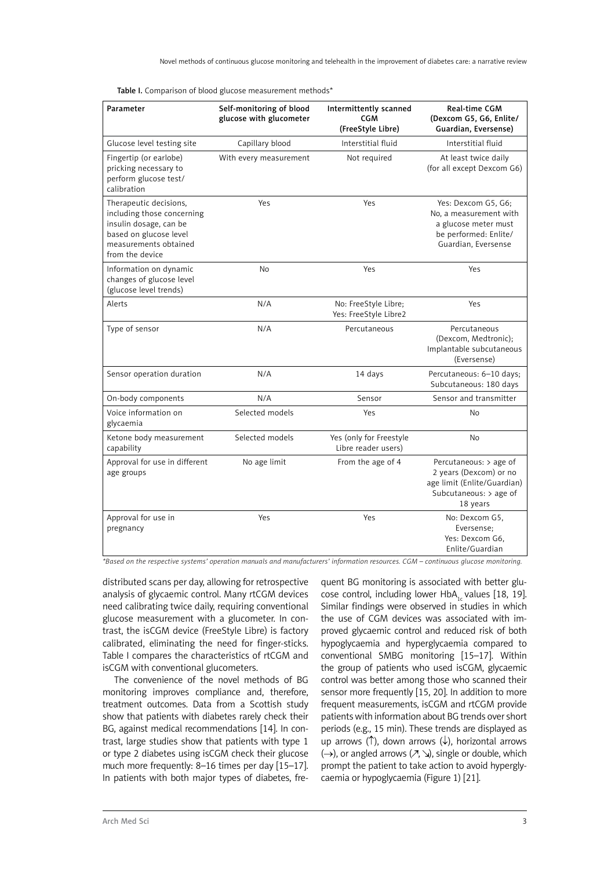| Parameter                                                                                                                                            | Self-monitoring of blood<br>glucose with glucometer | Intermittently scanned<br><b>CGM</b><br>(FreeStyle Libre)                                                                                  | Real-time CGM<br>(Dexcom G5, G6, Enlite/<br>Guardian, Eversense)                                                      |  |
|------------------------------------------------------------------------------------------------------------------------------------------------------|-----------------------------------------------------|--------------------------------------------------------------------------------------------------------------------------------------------|-----------------------------------------------------------------------------------------------------------------------|--|
| Glucose level testing site                                                                                                                           | Capillary blood                                     | Interstitial fluid                                                                                                                         | Interstitial fluid                                                                                                    |  |
| Fingertip (or earlobe)<br>pricking necessary to<br>perform glucose test/<br>calibration                                                              | With every measurement                              | Not required                                                                                                                               | At least twice daily<br>(for all except Dexcom G6)                                                                    |  |
| Therapeutic decisions,<br>including those concerning<br>insulin dosage, can be<br>based on glucose level<br>measurements obtained<br>from the device | Yes                                                 | Yes                                                                                                                                        | Yes: Dexcom G5, G6;<br>No, a measurement with<br>a glucose meter must<br>be performed: Enlite/<br>Guardian, Eversense |  |
| Information on dynamic<br>changes of glucose level<br>(glucose level trends)                                                                         | <b>No</b>                                           | Yes                                                                                                                                        | Yes                                                                                                                   |  |
| Alerts                                                                                                                                               | N/A                                                 | No: FreeStyle Libre;<br>Yes: FreeStyle Libre2                                                                                              | Yes                                                                                                                   |  |
| Type of sensor                                                                                                                                       | N/A                                                 | Percutaneous                                                                                                                               | Percutaneous<br>(Dexcom, Medtronic);<br>Implantable subcutaneous<br>(Eversense)                                       |  |
| Sensor operation duration                                                                                                                            | N/A                                                 | 14 days                                                                                                                                    | Percutaneous: 6-10 days;<br>Subcutaneous: 180 days                                                                    |  |
| On-body components                                                                                                                                   | N/A                                                 | Sensor                                                                                                                                     | Sensor and transmitter                                                                                                |  |
| Voice information on<br>glycaemia                                                                                                                    | Selected models                                     | Yes                                                                                                                                        | No                                                                                                                    |  |
| Ketone body measurement<br>capability                                                                                                                | Selected models                                     | Yes (only for Freestyle<br>Libre reader users)                                                                                             | N <sub>o</sub>                                                                                                        |  |
| Approval for use in different<br>age groups                                                                                                          | No age limit                                        | From the age of 4<br>Percutaneous: > age of<br>2 years (Dexcom) or no<br>age limit (Enlite/Guardian)<br>Subcutaneous: > age of<br>18 years |                                                                                                                       |  |
| Approval for use in<br>pregnancy                                                                                                                     | Yes                                                 | Yes                                                                                                                                        | No: Dexcom G5,<br>Eversense:<br>Yes: Dexcom G6,<br>Enlite/Guardian                                                    |  |

|  | Table I. Comparison of blood glucose measurement methods* |
|--|-----------------------------------------------------------|
|--|-----------------------------------------------------------|

*\*Based on the respective systems' operation manuals and manufacturers' information resources. CGM – continuous glucose monitoring.*

distributed scans per day, allowing for retrospective analysis of glycaemic control. Many rtCGM devices need calibrating twice daily, requiring conventional glucose measurement with a glucometer. In contrast, the isCGM device (FreeStyle Libre) is factory calibrated, eliminating the need for finger-sticks. Table I compares the characteristics of rtCGM and isCGM with conventional glucometers.

The convenience of the novel methods of BG monitoring improves compliance and, therefore, treatment outcomes. Data from a Scottish study show that patients with diabetes rarely check their BG, against medical recommendations [14]. In contrast, large studies show that patients with type 1 or type 2 diabetes using isCGM check their glucose much more frequently: 8–16 times per day [15–17]. In patients with both major types of diabetes, frequent BG monitoring is associated with better glucose control, including lower  $HbA_1$  values [18, 19]. Similar findings were observed in studies in which the use of CGM devices was associated with improved glycaemic control and reduced risk of both hypoglycaemia and hyperglycaemia compared to conventional SMBG monitoring [15–17]. Within the group of patients who used isCGM, glycaemic control was better among those who scanned their sensor more frequently [15, 20]. In addition to more frequent measurements, isCGM and rtCGM provide patients with information about BG trends over short periods (e.g., 15 min). These trends are displayed as up arrows (1), down arrows  $(\downarrow)$ , horizontal arrows  $(\rightarrow)$ , or angled arrows  $(\rightarrow)$ , single or double, which prompt the patient to take action to avoid hyperglycaemia or hypoglycaemia (Figure 1) [21].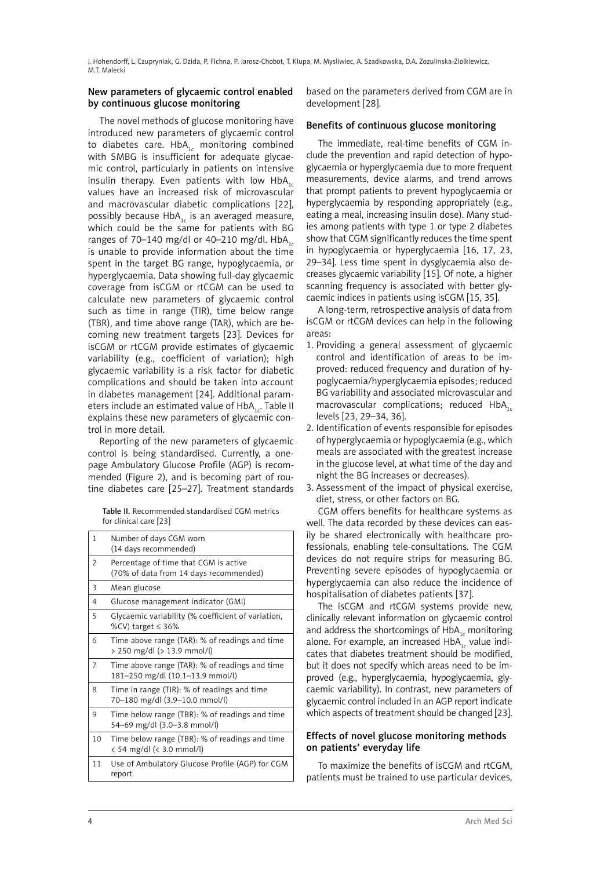#### New parameters of glycaemic control enabled by continuous glucose monitoring

The novel methods of glucose monitoring have introduced new parameters of glycaemic control to diabetes care.  $HbA_{1c}$  monitoring combined with SMBG is insufficient for adequate glycaemic control, particularly in patients on intensive insulin therapy. Even patients with low  $HbA_{1c}$ values have an increased risk of microvascular and macrovascular diabetic complications [22], possibly because HbA $_{1c}$  is an averaged measure, which could be the same for patients with BG ranges of 70–140 mg/dl or 40–210 mg/dl.  $HbA_{1c}$ is unable to provide information about the time spent in the target BG range, hypoglycaemia, or hyperglycaemia. Data showing full-day glycaemic coverage from isCGM or rtCGM can be used to calculate new parameters of glycaemic control such as time in range (TIR), time below range (TBR), and time above range (TAR), which are becoming new treatment targets [23]. Devices for isCGM or rtCGM provide estimates of glycaemic variability (e.g., coefficient of variation); high glycaemic variability is a risk factor for diabetic complications and should be taken into account in diabetes management [24]. Additional parameters include an estimated value of HbA<sub>1c</sub>. Table II explains these new parameters of glycaemic control in more detail.

Reporting of the new parameters of glycaemic control is being standardised. Currently, a onepage Ambulatory Glucose Profile (AGP) is recommended (Figure 2), and is becoming part of routine diabetes care [25–27]. Treatment standards

Table II. Recommended standardised CGM metrics for clinical care [23]

| $\mathbf{1}$   | Number of days CGM worn<br>(14 days recommended)                                   |
|----------------|------------------------------------------------------------------------------------|
| $\overline{2}$ | Percentage of time that CGM is active<br>(70% of data from 14 days recommended)    |
| 3              | Mean glucose                                                                       |
| 4              | Glucose management indicator (GMI)                                                 |
| 5              | Glycaemic variability (% coefficient of variation,<br>%CV) target $\leq$ 36%       |
| 6              | Time above range (TAR): % of readings and time<br>> 250 mg/dl (> 13.9 mmol/l)      |
| 7              | Time above range (TAR): % of readings and time<br>181-250 mg/dl (10.1-13.9 mmol/l) |
| 8              | Time in range (TIR): % of readings and time<br>70-180 mg/dl (3.9-10.0 mmol/l)      |
| 9              | Time below range (TBR): % of readings and time<br>54-69 mg/dl (3.0-3.8 mmol/l)     |
| 10             | Time below range (TBR): % of readings and time<br>< 54 mg/dl (< 3.0 mmol/l)        |
| 11             | Use of Ambulatory Glucose Profile (AGP) for CGM<br>report                          |

based on the parameters derived from CGM are in development [28].

#### Benefits of continuous glucose monitoring

The immediate, real-time benefits of CGM include the prevention and rapid detection of hypoglycaemia or hyperglycaemia due to more frequent measurements, device alarms, and trend arrows that prompt patients to prevent hypoglycaemia or hyperglycaemia by responding appropriately (e.g., eating a meal, increasing insulin dose). Many studies among patients with type 1 or type 2 diabetes show that CGM significantly reduces the time spent in hypoglycaemia or hyperglycaemia [16, 17, 23, 29–34]. Less time spent in dysglycaemia also decreases glycaemic variability [15]. Of note, a higher scanning frequency is associated with better glycaemic indices in patients using isCGM [15, 35].

A long-term, retrospective analysis of data from isCGM or rtCGM devices can help in the following areas:

- 1. Providing a general assessment of glycaemic control and identification of areas to be improved: reduced frequency and duration of hypoglycaemia/hyperglycaemia episodes; reduced BG variability and associated microvascular and macrovascular complications; reduced HbA<sub>1</sub> levels [23, 29–34, 36].
- 2. Identification of events responsible for episodes of hyperglycaemia or hypoglycaemia (e.g., which meals are associated with the greatest increase in the glucose level, at what time of the day and night the BG increases or decreases).
- 3. Assessment of the impact of physical exercise, diet, stress, or other factors on BG.

CGM offers benefits for healthcare systems as well. The data recorded by these devices can easily be shared electronically with healthcare professionals, enabling tele-consultations. The CGM devices do not require strips for measuring BG. Preventing severe episodes of hypoglycaemia or hyperglycaemia can also reduce the incidence of hospitalisation of diabetes patients [37].

The isCGM and rtCGM systems provide new, clinically relevant information on glycaemic control and address the shortcomings of  $HbA_{1c}$  monitoring alone. For example, an increased  $HbA<sub>1c</sub>$  value indicates that diabetes treatment should be modified, but it does not specify which areas need to be improved (e.g., hyperglycaemia, hypoglycaemia, glycaemic variability). In contrast, new parameters of glycaemic control included in an AGP report indicate which aspects of treatment should be changed [23].

### Effects of novel glucose monitoring methods on patients' everyday life

To maximize the benefits of isCGM and rtCGM, patients must be trained to use particular devices,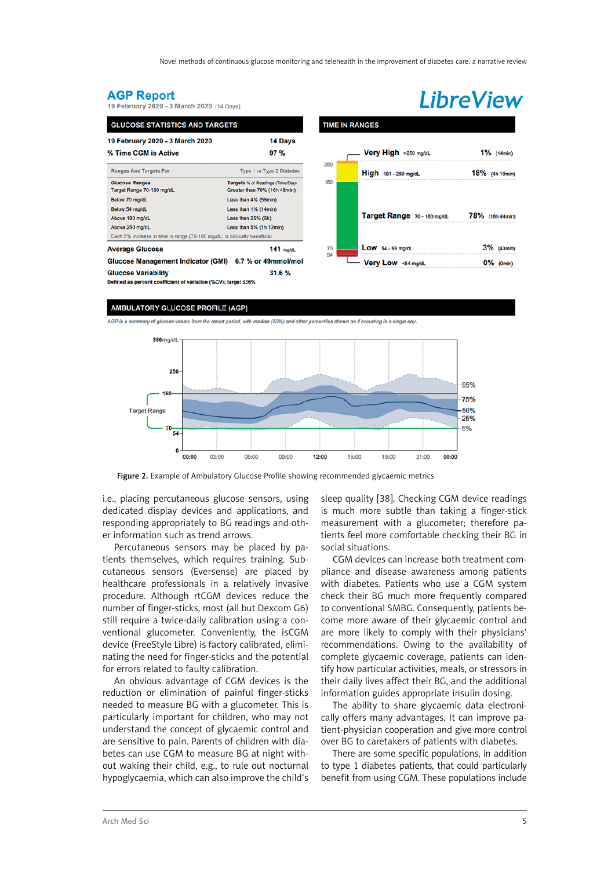Novel methods of continuous glucose monitoring and telehealth in the improvement of diabetes care: a narrative review

| <b>AGP Report</b><br>19 February 2020 - 3 March 2020 (14 Days)             |                                                                  |          | LibreView                   |                   |  |
|----------------------------------------------------------------------------|------------------------------------------------------------------|----------|-----------------------------|-------------------|--|
| <b>GLUCOSE STATISTICS AND TARGETS</b>                                      |                                                                  |          | <b>TIME IN RANGES</b>       |                   |  |
| 19 February 2020 - 3 March 2020<br>% Time CGM is Active                    | 14 Days<br>97 %                                                  |          | Very High >250 mg/dL        | $1\%$ (14min)     |  |
| <b>Ranges And Targets For</b>                                              | Type 1 or Type 2 Diabetes                                        | 250      | High 181 - 250 mg/dL        | $18\%$ (4h 19min) |  |
| <b>Glucose Ranges</b><br>Target Range 70-180 mg/dL                         | Targets % of Readings (Time/Day)<br>Greater than 70% (16h 48min) | 180      |                             |                   |  |
| Below 70 mg/dL                                                             | Less than 4% (58min)                                             |          |                             |                   |  |
| Below 54 mg/dL                                                             | Less than 1% (14min)                                             |          |                             |                   |  |
| Above 180 mg/dL                                                            | Less than 25% (6h)                                               |          | Target Range 70 - 180 mg/dL | 78% (18h 44min)   |  |
| Above 250 mg/dL                                                            | Less than 5% (1h 12min)                                          |          |                             |                   |  |
| Each 5% increase in time in range (70-180 mg/dL) is clinically beneficial. |                                                                  |          |                             |                   |  |
| <b>Average Glucose</b>                                                     | $141$ maldL                                                      | 70<br>54 | LOW 54 - 69 mg/dL           | $3\%$ (43min)     |  |
| <b>Glucose Management Indicator (GMI)</b>                                  | 6.7 % or 49mmol/mol                                              |          | Verv Low <54 mg/dL          | $0\%$ (0min)      |  |
| <b>Glucose Variability</b>                                                 | 31.6%                                                            |          |                             |                   |  |

## **AGP Report**

**AMBULATORY GLUCOSE PROFILE (AGP)** 

rcent coefficient of variation (%CV); target ≤36%



Figure 2. Example of Ambulatory Glucose Profile showing recommended glycaemic metrics

i.e., placing percutaneous glucose sensors, using dedicated display devices and applications, and responding appropriately to BG readings and other information such as trend arrows.

Percutaneous sensors may be placed by patients themselves, which requires training. Subcutaneous sensors (Eversense) are placed by healthcare professionals in a relatively invasive procedure. Although rtCGM devices reduce the number of finger-sticks, most (all but Dexcom G6) still require a twice-daily calibration using a conventional glucometer. Conveniently, the isCGM device (FreeStyle Libre) is factory calibrated, eliminating the need for finger-sticks and the potential for errors related to faulty calibration.

An obvious advantage of CGM devices is the reduction or elimination of painful finger-sticks needed to measure BG with a glucometer. This is particularly important for children, who may not understand the concept of glycaemic control and are sensitive to pain. Parents of children with diabetes can use CGM to measure BG at night without waking their child, e.g., to rule out nocturnal hypoglycaemia, which can also improve the child's sleep quality [38]. Checking CGM device readings is much more subtle than taking a finger-stick measurement with a glucometer; therefore patients feel more comfortable checking their BG in social situations.

CGM devices can increase both treatment compliance and disease awareness among patients with diabetes. Patients who use a CGM system check their BG much more frequently compared to conventional SMBG. Consequently, patients become more aware of their glycaemic control and are more likely to comply with their physicians' recommendations. Owing to the availability of complete glycaemic coverage, patients can identify how particular activities, meals, or stressors in their daily lives affect their BG, and the additional information guides appropriate insulin dosing.

The ability to share glycaemic data electronically offers many advantages. It can improve patient-physician cooperation and give more control over BG to caretakers of patients with diabetes.

There are some specific populations, in addition to type 1 diabetes patients, that could particularly benefit from using CGM. These populations include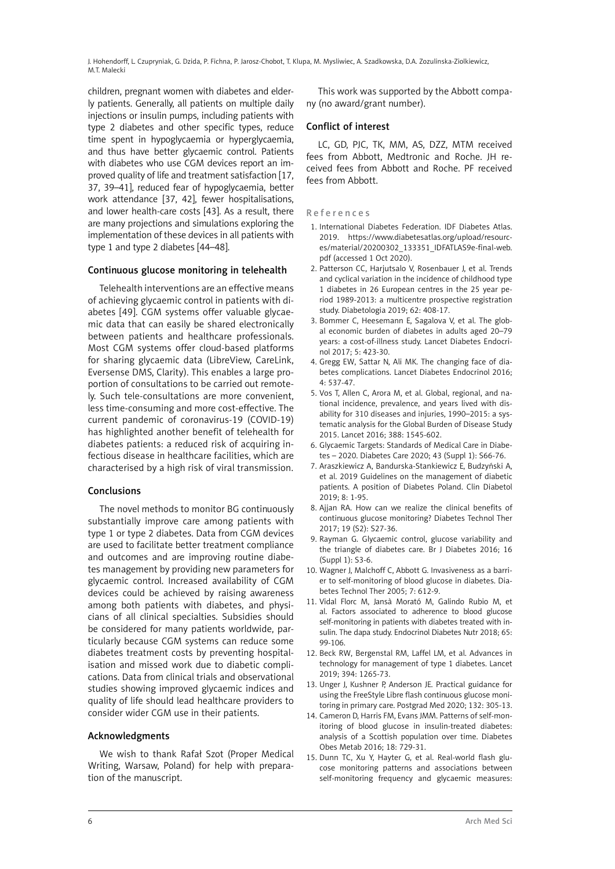children, pregnant women with diabetes and elderly patients. Generally, all patients on multiple daily injections or insulin pumps, including patients with type 2 diabetes and other specific types, reduce time spent in hypoglycaemia or hyperglycaemia, and thus have better glycaemic control. Patients with diabetes who use CGM devices report an improved quality of life and treatment satisfaction [17, 37, 39–41], reduced fear of hypoglycaemia, better work attendance [37, 42], fewer hospitalisations, and lower health-care costs [43]. As a result, there are many projections and simulations exploring the implementation of these devices in all patients with type 1 and type 2 diabetes [44–48].

#### Continuous glucose monitoring in telehealth

Telehealth interventions are an effective means of achieving glycaemic control in patients with diabetes [49]. CGM systems offer valuable glycaemic data that can easily be shared electronically between patients and healthcare professionals. Most CGM systems offer cloud-based platforms for sharing glycaemic data (LibreView, CareLink, Eversense DMS, Clarity). This enables a large proportion of consultations to be carried out remotely. Such tele-consultations are more convenient, less time-consuming and more cost-effective. The current pandemic of coronavirus-19 (COVID-19) has highlighted another benefit of telehealth for diabetes patients: a reduced risk of acquiring infectious disease in healthcare facilities, which are characterised by a high risk of viral transmission.

### Conclusions

The novel methods to monitor BG continuously substantially improve care among patients with type 1 or type 2 diabetes. Data from CGM devices are used to facilitate better treatment compliance and outcomes and are improving routine diabetes management by providing new parameters for glycaemic control. Increased availability of CGM devices could be achieved by raising awareness among both patients with diabetes, and physicians of all clinical specialties. Subsidies should be considered for many patients worldwide, particularly because CGM systems can reduce some diabetes treatment costs by preventing hospitalisation and missed work due to diabetic complications. Data from clinical trials and observational studies showing improved glycaemic indices and quality of life should lead healthcare providers to consider wider CGM use in their patients.

#### Acknowledgments

We wish to thank Rafał Szot (Proper Medical Writing, Warsaw, Poland) for help with preparation of the manuscript.

This work was supported by the Abbott company (no award/grant number).

#### Conflict of interest

LC, GD, PJC, TK, MM, AS, DZZ, MTM received fees from Abbott, Medtronic and Roche. JH received fees from Abbott and Roche. PF received fees from Abbott.

References

- 1. International Diabetes Federation. IDF Diabetes Atlas. 2019. https://www.diabetesatlas.org/upload/resources/material/20200302\_133351\_IDFATLAS9e-final-web. pdf (accessed 1 Oct 2020).
- 2. Patterson CC, Harjutsalo V, Rosenbauer J, et al. Trends and cyclical variation in the incidence of childhood type 1 diabetes in 26 European centres in the 25 year period 1989-2013: a multicentre prospective registration study. Diabetologia 2019; 62: 408-17.
- 3. Bommer C, Heesemann E, Sagalova V, et al. The global economic burden of diabetes in adults aged 20–79 years: a cost-of-illness study. Lancet Diabetes Endocrinol 2017; 5: 423-30.
- 4. Gregg EW, Sattar N, Ali MK. The changing face of diabetes complications. Lancet Diabetes Endocrinol 2016; 4: 537-47.
- 5. Vos T, Allen C, Arora M, et al. Global, regional, and national incidence, prevalence, and years lived with disability for 310 diseases and injuries, 1990–2015: a systematic analysis for the Global Burden of Disease Study 2015. Lancet 2016; 388: 1545-602.
- 6. Glycaemic Targets: Standards of Medical Care in Diabetes – 2020. Diabetes Care 2020; 43 (Suppl 1): S66-76.
- 7. Araszkiewicz A, Bandurska-Stankiewicz E, Budzyński A, et al. 2019 Guidelines on the management of diabetic patients. A position of Diabetes Poland. Clin Diabetol 2019; 8: 1-95.
- 8. Ajjan RA. How can we realize the clinical benefits of continuous glucose monitoring? Diabetes Technol Ther 2017; 19 (S2): S27-36.
- 9. Rayman G. Glycaemic control, glucose variability and the triangle of diabetes care. Br J Diabetes 2016; 16 (Suppl 1): S3-6.
- 10. Wagner J, Malchoff C, Abbott G. Invasiveness as a barrier to self-monitoring of blood glucose in diabetes. Diabetes Technol Ther 2005; 7: 612-9.
- 11. Vidal Florc M, Jansà Morató M, Galindo Rubio M, et al. Factors associated to adherence to blood glucose self-monitoring in patients with diabetes treated with insulin. The dapa study. Endocrinol Diabetes Nutr 2018; 65: 99-106.
- 12. Beck RW, Bergenstal RM, Laffel LM, et al. Advances in technology for management of type 1 diabetes. Lancet 2019; 394: 1265-73.
- 13. Unger J, Kushner P, Anderson JE. Practical guidance for using the FreeStyle Libre flash continuous glucose monitoring in primary care. Postgrad Med 2020; 132: 305-13.
- 14. Cameron D, Harris FM, Evans JMM. Patterns of self-monitoring of blood glucose in insulin-treated diabetes: analysis of a Scottish population over time. Diabetes Obes Metab 2016; 18: 729-31.
- 15. Dunn TC, Xu Y, Hayter G, et al. Real-world flash glucose monitoring patterns and associations between self-monitoring frequency and glycaemic measures: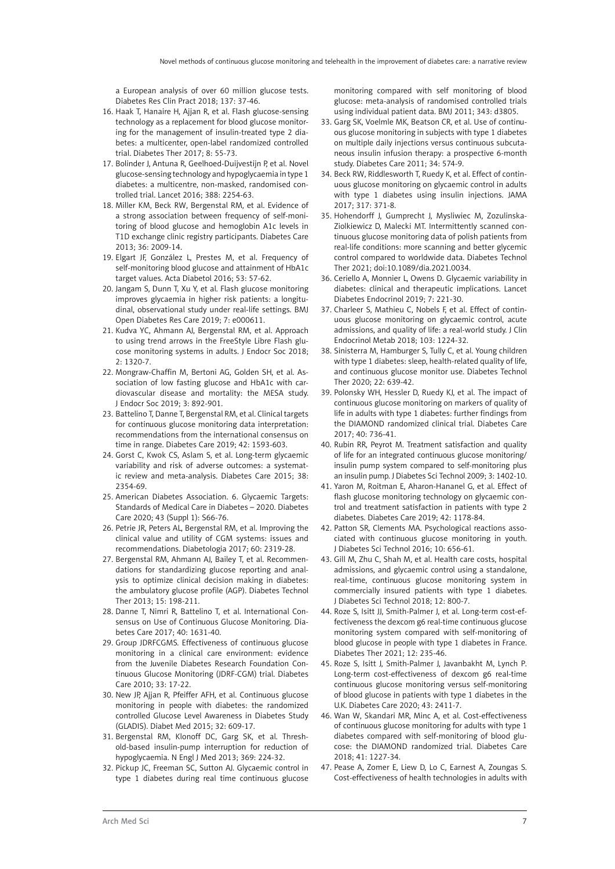a European analysis of over 60 million glucose tests. Diabetes Res Clin Pract 2018; 137: 37-46.

- 16. Haak T, Hanaire H, Ajjan R, et al. Flash glucose-sensing technology as a replacement for blood glucose monitoring for the management of insulin-treated type 2 diabetes: a multicenter, open-label randomized controlled trial. Diabetes Ther 2017; 8: 55-73.
- 17. Bolinder J, Antuna R, Geelhoed-Duijvestijn P, et al. Novel glucose-sensing technology and hypoglycaemia in type 1 diabetes: a multicentre, non-masked, randomised controlled trial. Lancet 2016; 388: 2254-63.
- 18. Miller KM, Beck RW, Bergenstal RM, et al. Evidence of a strong association between frequency of self-monitoring of blood glucose and hemoglobin A1c levels in T1D exchange clinic registry participants. Diabetes Care 2013; 36: 2009-14.
- 19. Elgart JF, González L, Prestes M, et al. Frequency of self-monitoring blood glucose and attainment of HbA1c target values. Acta Diabetol 2016; 53: 57-62.
- 20. Jangam S, Dunn T, Xu Y, et al. Flash glucose monitoring improves glycaemia in higher risk patients: a longitudinal, observational study under real-life settings. BMJ Open Diabetes Res Care 2019; 7: e000611.
- 21. Kudva YC, Ahmann AJ, Bergenstal RM, et al. Approach to using trend arrows in the FreeStyle Libre Flash glucose monitoring systems in adults. J Endocr Soc 2018; 2: 1320-7.
- 22. Mongraw-Chaffin M, Bertoni AG, Golden SH, et al. Association of low fasting glucose and HbA1c with cardiovascular disease and mortality: the MESA study. J Endocr Soc 2019; 3: 892-901.
- 23. Battelino T, Danne T, Bergenstal RM, et al. Clinical targets for continuous glucose monitoring data interpretation: recommendations from the international consensus on time in range. Diabetes Care 2019; 42: 1593-603.
- 24. Gorst C, Kwok CS, Aslam S, et al. Long-term glycaemic variability and risk of adverse outcomes: a systematic review and meta-analysis. Diabetes Care 2015; 38: 2354-69.
- 25. American Diabetes Association. 6. Glycaemic Targets: Standards of Medical Care in Diabetes – 2020. Diabetes Care 2020; 43 (Suppl 1): S66-76.
- 26. Petrie JR, Peters AL, Bergenstal RM, et al. Improving the clinical value and utility of CGM systems: issues and recommendations. Diabetologia 2017; 60: 2319-28.
- 27. Bergenstal RM, Ahmann AJ, Bailey T, et al. Recommendations for standardizing glucose reporting and analysis to optimize clinical decision making in diabetes: the ambulatory glucose profile (AGP). Diabetes Technol Ther 2013; 15: 198-211.
- 28. Danne T, Nimri R, Battelino T, et al. International Consensus on Use of Continuous Glucose Monitoring. Diabetes Care 2017; 40: 1631-40.
- 29. Group JDRFCGMS. Effectiveness of continuous glucose monitoring in a clinical care environment: evidence from the Juvenile Diabetes Research Foundation Continuous Glucose Monitoring (JDRF-CGM) trial. Diabetes Care 2010; 33: 17-22.
- 30. New JP, Ajjan R, Pfeiffer AFH, et al. Continuous glucose monitoring in people with diabetes: the randomized controlled Glucose Level Awareness in Diabetes Study (GLADIS). Diabet Med 2015; 32: 609-17.
- 31. Bergenstal RM, Klonoff DC, Garg SK, et al. Threshold-based insulin-pump interruption for reduction of hypoglycaemia. N Engl J Med 2013; 369: 224-32.
- 32. Pickup JC, Freeman SC, Sutton AJ. Glycaemic control in type 1 diabetes during real time continuous glucose

monitoring compared with self monitoring of blood glucose: meta-analysis of randomised controlled trials using individual patient data. BMJ 2011; 343: d3805.

- 33. Garg SK, Voelmle MK, Beatson CR, et al. Use of continuous glucose monitoring in subjects with type 1 diabetes on multiple daily injections versus continuous subcutaneous insulin infusion therapy: a prospective 6-month study. Diabetes Care 2011; 34: 574-9.
- 34. Beck RW, Riddlesworth T, Ruedy K, et al. Effect of continuous glucose monitoring on glycaemic control in adults with type 1 diabetes using insulin injections. JAMA 2017; 317: 371-8.
- 35. Hohendorff J, Gumprecht J, Mysliwiec M, Zozulinska-Ziolkiewicz D, Malecki MT. Intermittently scanned continuous glucose monitoring data of polish patients from real-life conditions: more scanning and better glycemic control compared to worldwide data. Diabetes Technol Ther 2021; doi:10.1089/dia.2021.0034.
- 36. Ceriello A, Monnier L, Owens D. Glycaemic variability in diabetes: clinical and therapeutic implications. Lancet Diabetes Endocrinol 2019; 7: 221-30.
- 37. Charleer S, Mathieu C, Nobels F, et al. Effect of continuous glucose monitoring on glycaemic control, acute admissions, and quality of life: a real-world study. J Clin Endocrinol Metab 2018; 103: 1224-32.
- 38. Sinisterra M, Hamburger S, Tully C, et al. Young children with type 1 diabetes: sleep, health-related quality of life, and continuous glucose monitor use. Diabetes Technol Ther 2020; 22: 639-42.
- 39. Polonsky WH, Hessler D, Ruedy KJ, et al. The impact of continuous glucose monitoring on markers of quality of life in adults with type 1 diabetes: further findings from the DIAMOND randomized clinical trial. Diabetes Care 2017; 40: 736-41.
- 40. Rubin RR, Peyrot M. Treatment satisfaction and quality of life for an integrated continuous glucose monitoring/ insulin pump system compared to self-monitoring plus an insulin pump. J Diabetes Sci Technol 2009; 3: 1402-10.
- 41. Yaron M, Roitman E, Aharon-Hananel G, et al. Effect of flash glucose monitoring technology on glycaemic control and treatment satisfaction in patients with type 2 diabetes. Diabetes Care 2019; 42: 1178-84.
- 42. Patton SR, Clements MA. Psychological reactions associated with continuous glucose monitoring in youth. J Diabetes Sci Technol 2016; 10: 656-61.
- 43. Gill M, Zhu C, Shah M, et al. Health care costs, hospital admissions, and glycaemic control using a standalone, real-time, continuous glucose monitoring system in commercially insured patients with type 1 diabetes. J Diabetes Sci Technol 2018; 12: 800-7.
- 44. Roze S, Isitt JJ, Smith-Palmer J, et al. Long-term cost-effectiveness the dexcom g6 real-time continuous glucose monitoring system compared with self-monitoring of blood glucose in people with type 1 diabetes in France. Diabetes Ther 2021; 12: 235-46.
- 45. Roze S, Isitt J, Smith-Palmer J, Javanbakht M, Lynch P. Long-term cost-effectiveness of dexcom g6 real-time continuous glucose monitoring versus self-monitoring of blood glucose in patients with type 1 diabetes in the U.K. Diabetes Care 2020; 43: 2411-7.
- 46. Wan W, Skandari MR, Minc A, et al. Cost-effectiveness of continuous glucose monitoring for adults with type 1 diabetes compared with self-monitoring of blood glucose: the DIAMOND randomized trial. Diabetes Care 2018; 41: 1227-34.
- 47. Pease A, Zomer E, Liew D, Lo C, Earnest A, Zoungas S. Cost-effectiveness of health technologies in adults with